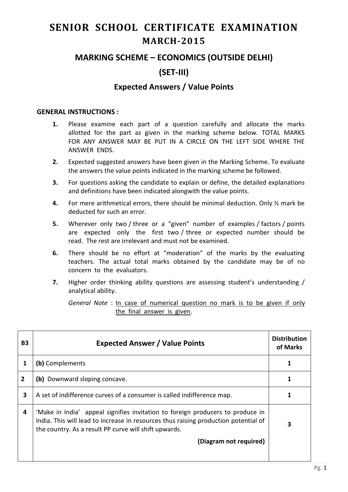# **SENIOR SCHOOL CERTIFICATE EXAMINATION MARCH-2015**

## **MARKING SCHEME – ECONOMICS (OUTSIDE DELHI)**

# **(SET-III)**

## **Expected Answers / Value Points**

#### **GENERAL INSTRUCTIONS :**

- **1.** Please examine each part of a question carefully and allocate the marks allotted for the part as given in the marking scheme below. TOTAL MARKS FOR ANY ANSWER MAY BE PUT IN A CIRCLE ON THE LEFT SIDE WHERE THE ANSWER ENDS.
- **2.** Expected suggested answers have been given in the Marking Scheme. To evaluate the answers the value points indicated in the marking scheme be followed.
- **3.** For questions asking the candidate to explain or define, the detailed explanations and definitions have been indicated alongwith the value points.
- **4.** For mere arithmetical errors, there should be minimal deduction. Only ½ mark be deducted for such an error.
- **5.** Wherever only two / three or a "given" number of examples / factors / points are expected only the first two / three or expected number should be read. The rest are irrelevant and must not be examined.
- **6.** There should be no effort at "moderation" of the marks by the evaluating teachers. The actual total marks obtained by the candidate may be of no concern to the evaluators.
- **7.** Higher order thinking ability questions are assessing student's understanding / analytical ability.

*General Note* : In case of numerical question no mark is to be given if only the final answer is given.

| <b>B3</b> | <b>Expected Answer / Value Points</b>                                                                                                                                                                                          | <b>Distribution</b><br>of Marks |
|-----------|--------------------------------------------------------------------------------------------------------------------------------------------------------------------------------------------------------------------------------|---------------------------------|
|           | (b) Complements                                                                                                                                                                                                                |                                 |
| 2         | (b) Downward sloping concave.                                                                                                                                                                                                  |                                 |
| 3         | A set of indifference curves of a consumer is called indifference map.                                                                                                                                                         |                                 |
| 4         | 'Make in India' appeal signifies invitation to foreign producers to produce in<br>India. This will lead to increase in resources thus raising production potential of<br>the country. As a result PP curve will shift upwards. |                                 |
|           | (Diagram not required)                                                                                                                                                                                                         |                                 |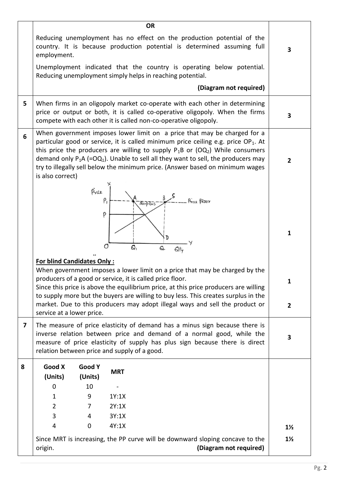|                         |                                                                                                                                                                                                                                                                                     |                       |                | <b>OR</b>                                                                                                                                                                                                                                                                                                                                                                                                                                            |                                  |
|-------------------------|-------------------------------------------------------------------------------------------------------------------------------------------------------------------------------------------------------------------------------------------------------------------------------------|-----------------------|----------------|------------------------------------------------------------------------------------------------------------------------------------------------------------------------------------------------------------------------------------------------------------------------------------------------------------------------------------------------------------------------------------------------------------------------------------------------------|----------------------------------|
|                         | employment.                                                                                                                                                                                                                                                                         |                       |                | Reducing unemployment has no effect on the production potential of the<br>country. It is because production potential is determined assuming full                                                                                                                                                                                                                                                                                                    | 3                                |
|                         |                                                                                                                                                                                                                                                                                     |                       |                | Unemployment indicated that the country is operating below potential.<br>Reducing unemployment simply helps in reaching potential.                                                                                                                                                                                                                                                                                                                   |                                  |
|                         |                                                                                                                                                                                                                                                                                     |                       |                | (Diagram not required)                                                                                                                                                                                                                                                                                                                                                                                                                               |                                  |
| 5                       |                                                                                                                                                                                                                                                                                     |                       |                | When firms in an oligopoly market co-operate with each other in determining<br>price or output or both, it is called co-operative oligopoly. When the firms<br>compete with each other it is called non-co-operative oligopoly.                                                                                                                                                                                                                      | 3                                |
| 6                       | is also correct)                                                                                                                                                                                                                                                                    |                       |                | When government imposes lower limit on a price that may be charged for a<br>particular good or service, it is called minimum price ceiling e.g. price $OP_1$ . At<br>this price the producers are willing to supply $P_1B$ or (OQ <sub>2</sub> ) While consumers<br>demand only $P_1A$ (=OQ <sub>1</sub> ). Unable to sell all they want to sell, the producers may<br>try to illegally sell below the minimum price. (Answer based on minimum wages | $\overline{2}$                   |
|                         |                                                                                                                                                                                                                                                                                     | Price<br>$\rho$<br>P  |                | Surplus<br>6,                                                                                                                                                                                                                                                                                                                                                                                                                                        | 1                                |
|                         | <b>For blind Candidates Only:</b><br>service at a lower price.                                                                                                                                                                                                                      |                       |                | When government imposes a lower limit on a price that may be charged by the<br>producers of a good or service, it is called price floor.<br>Since this price is above the equilibrium price, at this price producers are willing<br>to supply more but the buyers are willing to buy less. This creates surplus in the<br>market. Due to this producers may adopt illegal ways and sell the product or                                               | 1<br>$\overline{2}$              |
| $\overline{\mathbf{z}}$ | The measure of price elasticity of demand has a minus sign because there is<br>inverse relation between price and demand of a normal good, while the<br>measure of price elasticity of supply has plus sign because there is direct<br>relation between price and supply of a good. |                       |                | 3                                                                                                                                                                                                                                                                                                                                                                                                                                                    |                                  |
| 8                       | Good X<br>(Units)                                                                                                                                                                                                                                                                   | Good Y<br>(Units)     | <b>MRT</b>     |                                                                                                                                                                                                                                                                                                                                                                                                                                                      |                                  |
|                         | 0                                                                                                                                                                                                                                                                                   | 10                    |                |                                                                                                                                                                                                                                                                                                                                                                                                                                                      |                                  |
|                         | $\mathbf{1}$                                                                                                                                                                                                                                                                        | 9                     | 1Y:1X          |                                                                                                                                                                                                                                                                                                                                                                                                                                                      |                                  |
|                         | $\overline{2}$                                                                                                                                                                                                                                                                      | 7                     | 2Y:1X          |                                                                                                                                                                                                                                                                                                                                                                                                                                                      |                                  |
|                         | 3<br>$\overline{4}$                                                                                                                                                                                                                                                                 | 4<br>$\boldsymbol{0}$ | 3Y:1X<br>4Y:1X |                                                                                                                                                                                                                                                                                                                                                                                                                                                      |                                  |
|                         | origin.                                                                                                                                                                                                                                                                             |                       |                | Since MRT is increasing, the PP curve will be downward sloping concave to the<br>(Diagram not required)                                                                                                                                                                                                                                                                                                                                              | $1\frac{1}{2}$<br>$1\frac{1}{2}$ |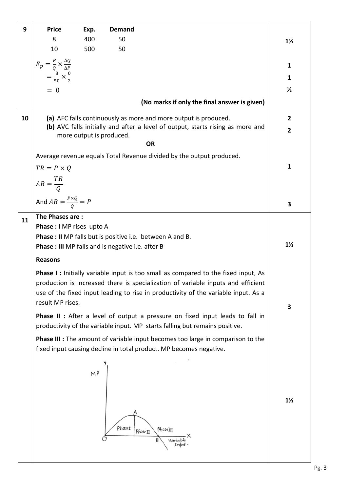| 9  | <b>Price</b>                                                                                                           | Exp.                     | <b>Demand</b>                                                                                                                                                                |                |
|----|------------------------------------------------------------------------------------------------------------------------|--------------------------|------------------------------------------------------------------------------------------------------------------------------------------------------------------------------|----------------|
|    | 8                                                                                                                      | 400                      | 50                                                                                                                                                                           | $1\frac{1}{2}$ |
|    | 10                                                                                                                     | 500                      | 50                                                                                                                                                                           |                |
|    | $\begin{array}{l} E_p = \frac{P}{Q} \times \frac{\Delta Q}{\Delta P} \\ = \frac{8}{50} \times \frac{0}{2} \end{array}$ |                          |                                                                                                                                                                              | 1              |
|    |                                                                                                                        |                          |                                                                                                                                                                              | 1              |
|    | $= 0$                                                                                                                  |                          |                                                                                                                                                                              | $\frac{1}{2}$  |
|    |                                                                                                                        |                          | (No marks if only the final answer is given)                                                                                                                                 |                |
| 10 |                                                                                                                        |                          | (a) AFC falls continuously as more and more output is produced.                                                                                                              | $\overline{2}$ |
|    |                                                                                                                        | more output is produced. | (b) AVC falls initially and after a level of output, starts rising as more and                                                                                               | $\mathbf{2}$   |
|    |                                                                                                                        |                          | <b>OR</b>                                                                                                                                                                    |                |
|    |                                                                                                                        |                          | Average revenue equals Total Revenue divided by the output produced.                                                                                                         |                |
|    | $TR = P \times Q$                                                                                                      |                          |                                                                                                                                                                              | $\mathbf{1}$   |
|    | $AR = \frac{TR}{Q}$                                                                                                    |                          |                                                                                                                                                                              |                |
|    | And $AR = \frac{P \times Q}{Q} = P$                                                                                    |                          |                                                                                                                                                                              | 3              |
| 11 | The Phases are:                                                                                                        |                          |                                                                                                                                                                              |                |
|    | Phase : I MP rises upto A                                                                                              |                          |                                                                                                                                                                              |                |
|    |                                                                                                                        |                          | Phase : II MP falls but is positive i.e. between A and B.<br><b>Phase: III</b> MP falls and is negative i.e. after B                                                         | $1\frac{1}{2}$ |
|    | <b>Reasons</b>                                                                                                         |                          |                                                                                                                                                                              |                |
|    |                                                                                                                        |                          |                                                                                                                                                                              |                |
|    |                                                                                                                        |                          | <b>Phase I:</b> Initially variable input is too small as compared to the fixed input, As<br>production is increased there is specialization of variable inputs and efficient |                |
|    | result MP rises.                                                                                                       |                          | use of the fixed input leading to rise in productivity of the variable input. As a                                                                                           |                |
|    |                                                                                                                        |                          | Phase II : After a level of output a pressure on fixed input leads to fall in                                                                                                | 3              |
|    |                                                                                                                        |                          | productivity of the variable input. MP starts falling but remains positive.                                                                                                  |                |
|    |                                                                                                                        |                          | Phase III : The amount of variable input becomes too large in comparison to the<br>fixed input causing decline in total product. MP becomes negative.                        |                |
|    |                                                                                                                        | M <sub>P</sub>           | Phaset<br>PhaseIII<br>Phase II                                                                                                                                               | $1\frac{1}{2}$ |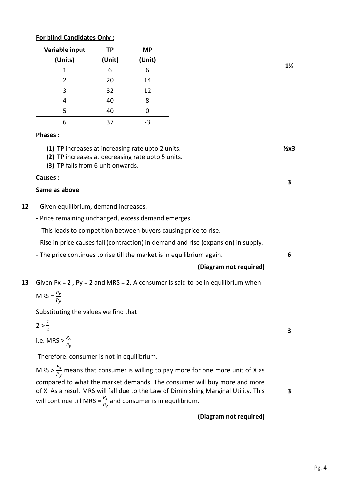| Variable input                                                                                                                              | TP     | <b>MP</b> |                                                                                                                                                                  |                |
|---------------------------------------------------------------------------------------------------------------------------------------------|--------|-----------|------------------------------------------------------------------------------------------------------------------------------------------------------------------|----------------|
| (Units)                                                                                                                                     | (Unit) | (Unit)    |                                                                                                                                                                  | $1\frac{1}{2}$ |
| 1                                                                                                                                           | 6      | 6         |                                                                                                                                                                  |                |
| $\overline{2}$                                                                                                                              | 20     | 14        |                                                                                                                                                                  |                |
| 3                                                                                                                                           | 32     | 12        |                                                                                                                                                                  |                |
| 4                                                                                                                                           | 40     | 8         |                                                                                                                                                                  |                |
| 5                                                                                                                                           | 40     | 0         |                                                                                                                                                                  |                |
| 6                                                                                                                                           | 37     | $-3$      |                                                                                                                                                                  |                |
| <b>Phases:</b>                                                                                                                              |        |           |                                                                                                                                                                  |                |
| (1) TP increases at increasing rate upto 2 units.<br>(2) TP increases at decreasing rate upto 5 units.<br>(3) TP falls from 6 unit onwards. |        |           |                                                                                                                                                                  | $2x3$          |
| <b>Causes:</b>                                                                                                                              |        |           |                                                                                                                                                                  | 3              |
| Same as above                                                                                                                               |        |           |                                                                                                                                                                  |                |
| - Given equilibrium, demand increases.                                                                                                      |        |           |                                                                                                                                                                  |                |
| - Price remaining unchanged, excess demand emerges.                                                                                         |        |           |                                                                                                                                                                  |                |
| - This leads to competition between buyers causing price to rise.                                                                           |        |           |                                                                                                                                                                  |                |
|                                                                                                                                             |        |           | - Rise in price causes fall (contraction) in demand and rise (expansion) in supply.                                                                              |                |
| - The price continues to rise till the market is in equilibrium again.                                                                      |        |           |                                                                                                                                                                  | 6              |
|                                                                                                                                             |        |           | (Diagram not required)                                                                                                                                           |                |
|                                                                                                                                             |        |           | Given $Px = 2$ , $Py = 2$ and MRS = 2, A consumer is said to be in equilibrium when                                                                              |                |
| MRS = $\frac{P_x}{P_y}$                                                                                                                     |        |           |                                                                                                                                                                  |                |
| Substituting the values we find that                                                                                                        |        |           |                                                                                                                                                                  |                |
| $2 > \frac{2}{2}$                                                                                                                           |        |           |                                                                                                                                                                  |                |
| i.e. MRS > $\frac{P_x}{P_y}$                                                                                                                |        |           |                                                                                                                                                                  | 3              |
| Therefore, consumer is not in equilibrium.                                                                                                  |        |           |                                                                                                                                                                  |                |
|                                                                                                                                             |        |           | MRS > $\frac{P_x}{P_y}$ means that consumer is willing to pay more for one more unit of X as                                                                     |                |
| will continue till MRS = $\frac{P_x}{P_y}$ and consumer is in equilibrium.                                                                  |        |           | compared to what the market demands. The consumer will buy more and more<br>of X. As a result MRS will fall due to the Law of Diminishing Marginal Utility. This | 3              |
|                                                                                                                                             |        |           |                                                                                                                                                                  |                |
|                                                                                                                                             |        |           | (Diagram not required)                                                                                                                                           |                |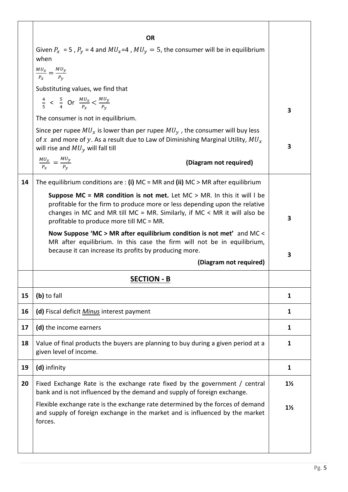|    | <b>OR</b>                                                                                                                                                                                                                                                                      |                |
|----|--------------------------------------------------------------------------------------------------------------------------------------------------------------------------------------------------------------------------------------------------------------------------------|----------------|
|    | Given $P_x = 5$ , $P_y = 4$ and $MU_x = 4$ , $MU_y = 5$ , the consumer will be in equilibrium<br>when                                                                                                                                                                          |                |
|    | $\frac{MU_x}{P_x} = \frac{MU_y}{P_y}$                                                                                                                                                                                                                                          |                |
|    | Substituting values, we find that                                                                                                                                                                                                                                              |                |
|    | $\frac{4}{5}$ < $\frac{5}{4}$ Or $\frac{MU_x}{P_x}$ < $\frac{MU_y}{P_y}$                                                                                                                                                                                                       | 3              |
|    | The consumer is not in equilibrium.                                                                                                                                                                                                                                            |                |
|    | Since per rupee $MU_x$ is lower than per rupee $MU_y$ , the consumer will buy less<br>of x and more of y. As a result due to Law of Diminishing Marginal Utility, $MU_x$<br>will rise and $MU_{\nu}$ will fall till                                                            | 3              |
|    | $\frac{M U_x}{P_x} = \frac{M U_y}{P_y}$<br>(Diagram not required)                                                                                                                                                                                                              |                |
| 14 | The equilibrium conditions are : (i) MC = MR and (ii) MC > MR after equilibrium                                                                                                                                                                                                |                |
|    | Suppose MC = MR condition is not met. Let MC > MR. In this it will I be<br>profitable for the firm to produce more or less depending upon the relative<br>changes in MC and MR till MC = MR. Similarly, if MC < MR it will also be<br>profitable to produce more till MC = MR. | 3              |
|    | Now Suppose 'MC > MR after equilibrium condition is not met' and MC <<br>MR after equilibrium. In this case the firm will not be in equilibrium,<br>because it can increase its profits by producing more.<br>(Diagram not required)                                           | 3              |
|    |                                                                                                                                                                                                                                                                                |                |
|    | <b>SECTION - B</b>                                                                                                                                                                                                                                                             |                |
| 15 | (b) to fall                                                                                                                                                                                                                                                                    | 1              |
| 16 | (d) Fiscal deficit <i>Minus</i> interest payment                                                                                                                                                                                                                               | 1              |
| 17 | (d) the income earners                                                                                                                                                                                                                                                         | 1              |
| 18 | Value of final products the buyers are planning to buy during a given period at a<br>given level of income.                                                                                                                                                                    | 1              |
| 19 | (d) infinity                                                                                                                                                                                                                                                                   | 1              |
| 20 | Fixed Exchange Rate is the exchange rate fixed by the government / central<br>bank and is not influenced by the demand and supply of foreign exchange.                                                                                                                         | $1\frac{1}{2}$ |
|    | Flexible exchange rate is the exchange rate determined by the forces of demand<br>and supply of foreign exchange in the market and is influenced by the market<br>forces.                                                                                                      | $1\frac{1}{2}$ |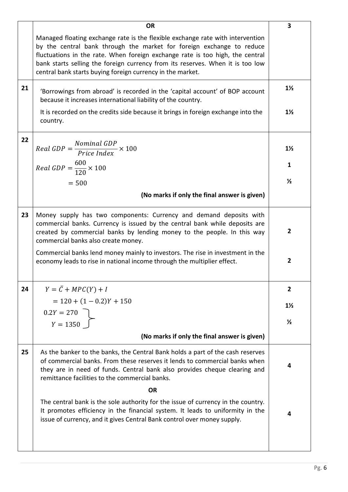|    | <b>OR</b>                                                                                                                                                                                                                                                                                                                                                                                | 3              |
|----|------------------------------------------------------------------------------------------------------------------------------------------------------------------------------------------------------------------------------------------------------------------------------------------------------------------------------------------------------------------------------------------|----------------|
|    | Managed floating exchange rate is the flexible exchange rate with intervention<br>by the central bank through the market for foreign exchange to reduce<br>fluctuations in the rate. When foreign exchange rate is too high, the central<br>bank starts selling the foreign currency from its reserves. When it is too low<br>central bank starts buying foreign currency in the market. |                |
|    |                                                                                                                                                                                                                                                                                                                                                                                          |                |
| 21 | 'Borrowings from abroad' is recorded in the 'capital account' of BOP account<br>because it increases international liability of the country.                                                                                                                                                                                                                                             | $1\frac{1}{2}$ |
|    | It is recorded on the credits side because it brings in foreign exchange into the<br>country.                                                                                                                                                                                                                                                                                            | $1\frac{1}{2}$ |
| 22 |                                                                                                                                                                                                                                                                                                                                                                                          |                |
|    | Real GDP = $\frac{Nominal\ GDP}{Price\ Index} \times 100$                                                                                                                                                                                                                                                                                                                                | $1\frac{1}{2}$ |
|    | Real GDP = $\frac{600}{120} \times 100$                                                                                                                                                                                                                                                                                                                                                  | 1              |
|    | $= 500$                                                                                                                                                                                                                                                                                                                                                                                  | $\frac{1}{2}$  |
|    | (No marks if only the final answer is given)                                                                                                                                                                                                                                                                                                                                             |                |
| 23 | Money supply has two components: Currency and demand deposits with                                                                                                                                                                                                                                                                                                                       |                |
|    | commercial banks. Currency is issued by the central bank while deposits are<br>created by commercial banks by lending money to the people. In this way<br>commercial banks also create money.                                                                                                                                                                                            | $\overline{2}$ |
|    | Commercial banks lend money mainly to investors. The rise in investment in the<br>economy leads to rise in national income through the multiplier effect.                                                                                                                                                                                                                                | $\overline{2}$ |
| 24 | $Y = \overline{C} + MPC(Y) + I$                                                                                                                                                                                                                                                                                                                                                          | $\overline{2}$ |
|    | $= 120 + (1 - 0.2)Y + 150$                                                                                                                                                                                                                                                                                                                                                               | $1\frac{1}{2}$ |
|    | $0.2Y = 270$                                                                                                                                                                                                                                                                                                                                                                             |                |
|    | $Y = 1350$                                                                                                                                                                                                                                                                                                                                                                               | $\frac{1}{2}$  |
|    | (No marks if only the final answer is given)                                                                                                                                                                                                                                                                                                                                             |                |
| 25 | As the banker to the banks, the Central Bank holds a part of the cash reserves<br>of commercial banks. From these reserves it lends to commercial banks when<br>they are in need of funds. Central bank also provides cheque clearing and<br>remittance facilities to the commercial banks.                                                                                              | 4              |
|    | <b>OR</b>                                                                                                                                                                                                                                                                                                                                                                                |                |
|    | The central bank is the sole authority for the issue of currency in the country.<br>It promotes efficiency in the financial system. It leads to uniformity in the<br>issue of currency, and it gives Central Bank control over money supply.                                                                                                                                             | 4              |
|    |                                                                                                                                                                                                                                                                                                                                                                                          |                |